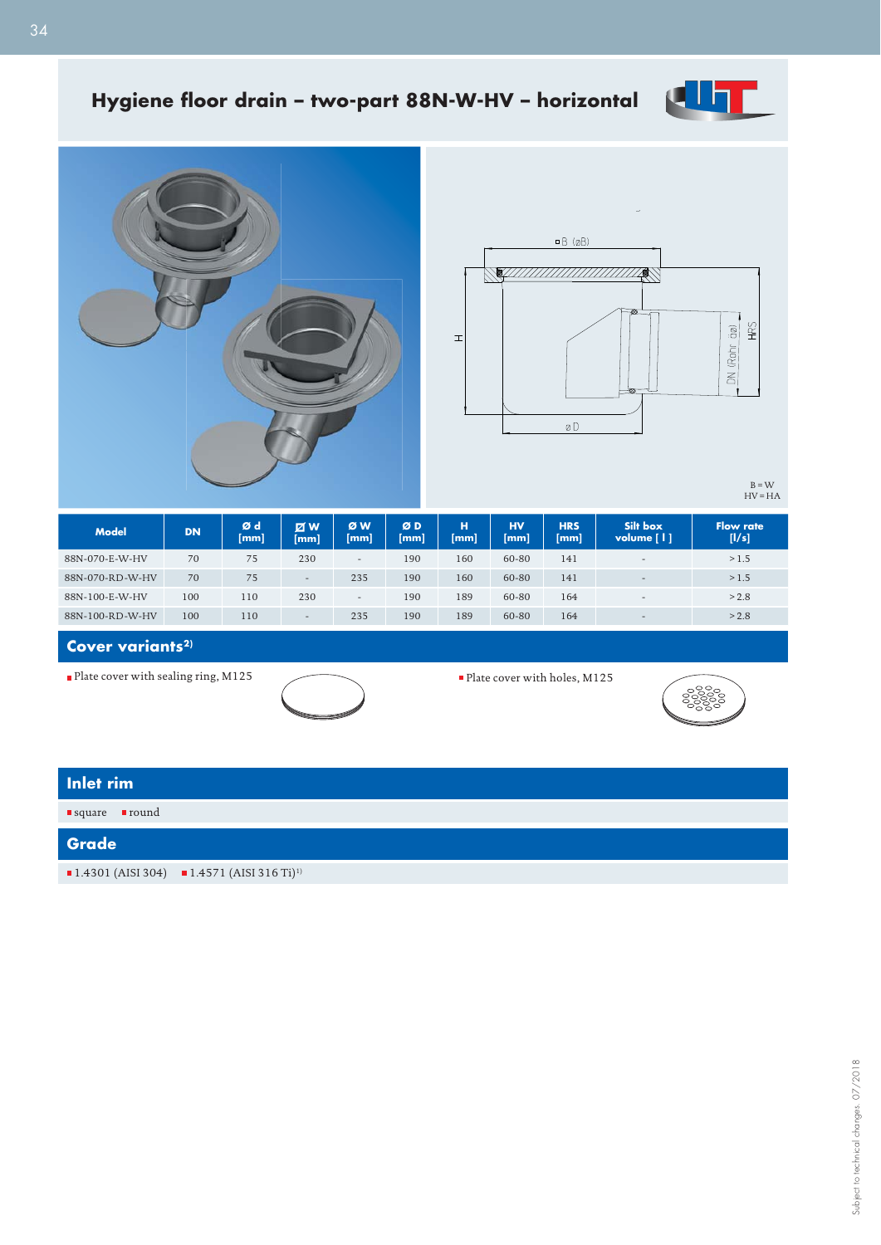

## Hygiene floor drain - two-part 88N-W-HV - horizontal





 $B = W$ <br>HV = HA

| <b>Model</b>    | <b>DN</b> | Ød<br> mm | <b>ZW</b><br>[mm]        | ØW<br>mm                 | ØD<br>$ \mathsf{mm} $ | н<br>[mm] | <b>HV</b><br>[mm] | <b>HRS</b><br>[mm] | Silt box<br>volume [   ] | <b>Flow rate</b><br>[1/s] |
|-----------------|-----------|-----------|--------------------------|--------------------------|-----------------------|-----------|-------------------|--------------------|--------------------------|---------------------------|
| 88N-070-E-W-HV  | 70        | 75        | 230                      | $\overline{\phantom{0}}$ | 190                   | 160       | 60-80             | 141                | $\overline{\phantom{0}}$ | >1.5                      |
| 88N-070-RD-W-HV | 70        | 75        | $\overline{\phantom{0}}$ | 235                      | 190                   | 160       | 60-80             | 141                | $-$                      | >1.5                      |
| 88N-100-E-W-HV  | 100       | 110       | 230                      | $\overline{\phantom{0}}$ | 190                   | 189       | 60-80             | 164                | $\overline{\phantom{0}}$ | > 2.8                     |
| 88N-100-RD-W-HV | 100       | 110       | $\overline{\phantom{m}}$ | 235                      | 190                   | 189       | 60-80             | 164                | $\overline{\phantom{0}}$ | > 2.8                     |

Cover variants<sup>2)</sup>

■ Plate cover with sealing ring, M125 Plate cover with holes, M125





| Inlet rim                       |                                                                                    |
|---------------------------------|------------------------------------------------------------------------------------|
| ■round<br>$\blacksquare$ square |                                                                                    |
| Grade                           |                                                                                    |
|                                 | $\blacksquare$ 1.4301 (AISI 304) $\blacksquare$ 1.4571 (AISI 316 Ti) <sup>1)</sup> |